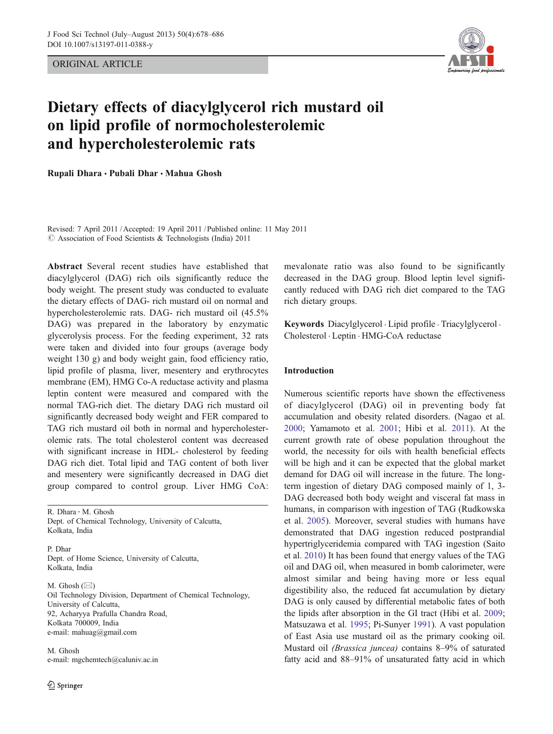ORIGINAL ARTICLE



# Dietary effects of diacylglycerol rich mustard oil on lipid profile of normocholesterolemic and hypercholesterolemic rats

Rupali Dhara & Pubali Dhar & Mahua Ghosh

Revised: 7 April 2011 /Accepted: 19 April 2011 / Published online: 11 May 2011 © Association of Food Scientists & Technologists (India) 2011

Abstract Several recent studies have established that diacylglycerol (DAG) rich oils significantly reduce the body weight. The present study was conducted to evaluate the dietary effects of DAG- rich mustard oil on normal and hypercholesterolemic rats. DAG- rich mustard oil (45.5% DAG) was prepared in the laboratory by enzymatic glycerolysis process. For the feeding experiment, 32 rats were taken and divided into four groups (average body weight 130 g) and body weight gain, food efficiency ratio, lipid profile of plasma, liver, mesentery and erythrocytes membrane (EM), HMG Co-A reductase activity and plasma leptin content were measured and compared with the normal TAG-rich diet. The dietary DAG rich mustard oil significantly decreased body weight and FER compared to TAG rich mustard oil both in normal and hypercholesterolemic rats. The total cholesterol content was decreased with significant increase in HDL- cholesterol by feeding DAG rich diet. Total lipid and TAG content of both liver and mesentery were significantly decreased in DAG diet group compared to control group. Liver HMG CoA:

R. Dhara : M. Ghosh Dept. of Chemical Technology, University of Calcutta, Kolkata, India

P. Dhar Dept. of Home Science, University of Calcutta, Kolkata, India

M. Ghosh  $(\boxtimes)$ Oil Technology Division, Department of Chemical Technology, University of Calcutta, 92, Acharyya Prafulla Chandra Road, Kolkata 700009, India e-mail: mahuag@gmail.com

M. Ghosh e-mail: mgchemtech@caluniv.ac.in mevalonate ratio was also found to be significantly decreased in the DAG group. Blood leptin level significantly reduced with DAG rich diet compared to the TAG rich dietary groups.

Keywords Diacylglycerol . Lipid profile . Triacylglycerol . Cholesterol . Leptin . HMG-CoA reductase

# Introduction

Numerous scientific reports have shown the effectiveness of diacylglycerol (DAG) oil in preventing body fat accumulation and obesity related disorders. (Nagao et al. [2000](#page-8-0); Yamamoto et al. [2001](#page-8-0); Hibi et al. [2011](#page-7-0)). At the current growth rate of obese population throughout the world, the necessity for oils with health beneficial effects will be high and it can be expected that the global market demand for DAG oil will increase in the future. The longterm ingestion of dietary DAG composed mainly of 1, 3- DAG decreased both body weight and visceral fat mass in humans, in comparison with ingestion of TAG (Rudkowska et al. [2005\)](#page-8-0). Moreover, several studies with humans have demonstrated that DAG ingestion reduced postprandial hypertriglyceridemia compared with TAG ingestion (Saito et al. [2010\)](#page-8-0) It has been found that energy values of the TAG oil and DAG oil, when measured in bomb calorimeter, were almost similar and being having more or less equal digestibility also, the reduced fat accumulation by dietary DAG is only caused by differential metabolic fates of both the lipids after absorption in the GI tract (Hibi et al. [2009;](#page-7-0) Matsuzawa et al. [1995;](#page-7-0) Pi-Sunyer [1991\)](#page-8-0). A vast population of East Asia use mustard oil as the primary cooking oil. Mustard oil (Brassica juncea) contains 8–9% of saturated fatty acid and 88–91% of unsaturated fatty acid in which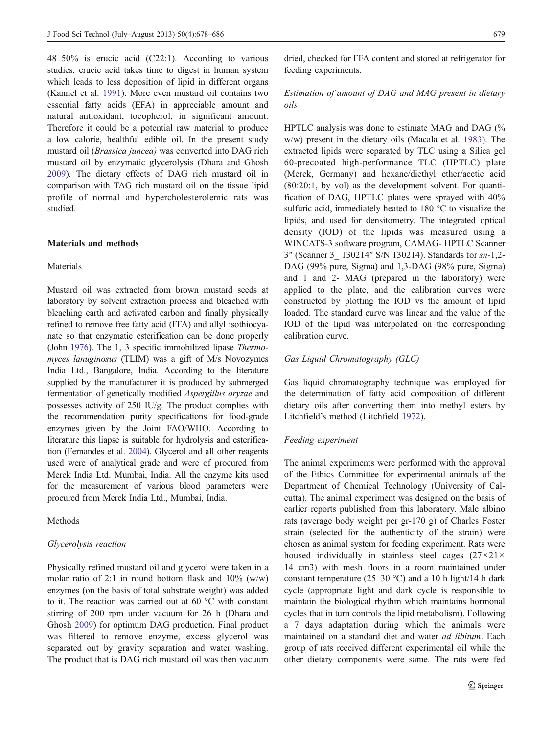48–50% is erucic acid (C22:1). According to various studies, erucic acid takes time to digest in human system which leads to less deposition of lipid in different organs (Kannel et al. [1991\)](#page-7-0). More even mustard oil contains two essential fatty acids (EFA) in appreciable amount and natural antioxidant, tocopherol, in significant amount. Therefore it could be a potential raw material to produce a low calorie, healthful edible oil. In the present study mustard oil (Brassica juncea) was converted into DAG rich mustard oil by enzymatic glycerolysis (Dhara and Ghosh [2009\)](#page-7-0). The dietary effects of DAG rich mustard oil in comparison with TAG rich mustard oil on the tissue lipid profile of normal and hypercholesterolemic rats was studied.

## Materials and methods

## Materials

Mustard oil was extracted from brown mustard seeds at laboratory by solvent extraction process and bleached with bleaching earth and activated carbon and finally physically refined to remove free fatty acid (FFA) and allyl isothiocyanate so that enzymatic esterification can be done properly (John [1976](#page-7-0)). The 1, 3 specific immobilized lipase Thermomyces lanuginosus (TLIM) was a gift of M/s Novozymes India Ltd., Bangalore, India. According to the literature supplied by the manufacturer it is produced by submerged fermentation of genetically modified Aspergillus oryzae and possesses activity of 250 IU/g. The product complies with the recommendation purity specifications for food-grade enzymes given by the Joint FAO/WHO. According to literature this liapse is suitable for hydrolysis and esterification (Fernandes et al. [2004\)](#page-7-0). Glycerol and all other reagents used were of analytical grade and were of procured from Merck India Ltd. Mumbai, India. All the enzyme kits used for the measurement of various blood parameters were procured from Merck India Ltd., Mumbai, India.

# Methods

#### Glycerolysis reaction

Physically refined mustard oil and glycerol were taken in a molar ratio of 2:1 in round bottom flask and  $10\%$  (w/w) enzymes (on the basis of total substrate weight) was added to it. The reaction was carried out at 60 °C with constant stirring of 200 rpm under vacuum for 26 h (Dhara and Ghosh [2009](#page-7-0)) for optimum DAG production. Final product was filtered to remove enzyme, excess glycerol was separated out by gravity separation and water washing. The product that is DAG rich mustard oil was then vacuum dried, checked for FFA content and stored at refrigerator for feeding experiments.

# Estimation of amount of DAG and MAG present in dietary oils

HPTLC analysis was done to estimate MAG and DAG (% w/w) present in the dietary oils (Macala et al. [1983](#page-7-0)). The extracted lipids were separated by TLC using a Silica gel 60-precoated high-performance TLC (HPTLC) plate (Merck, Germany) and hexane/diethyl ether/acetic acid (80:20:1, by vol) as the development solvent. For quantification of DAG, HPTLC plates were sprayed with 40% sulfuric acid, immediately heated to 180 °C to visualize the lipids, and used for densitometry. The integrated optical density (IOD) of the lipids was measured using a WINCATS-3 software program, CAMAG- HPTLC Scanner 3″ (Scanner 3\_ 130214″ S/N 130214). Standards for sn-1,2- DAG (99% pure, Sigma) and 1,3-DAG (98% pure, Sigma) and 1 and 2- MAG (prepared in the laboratory) were applied to the plate, and the calibration curves were constructed by plotting the IOD vs the amount of lipid loaded. The standard curve was linear and the value of the IOD of the lipid was interpolated on the corresponding calibration curve.

#### Gas Liquid Chromatography (GLC)

Gas–liquid chromatography technique was employed for the determination of fatty acid composition of different dietary oils after converting them into methyl esters by Litchfield's method (Litchfield [1972](#page-7-0)).

## Feeding experiment

The animal experiments were performed with the approval of the Ethics Committee for experimental animals of the Department of Chemical Technology (University of Calcutta). The animal experiment was designed on the basis of earlier reports published from this laboratory. Male albino rats (average body weight per gr-170 g) of Charles Foster strain (selected for the authenticity of the strain) were chosen as animal system for feeding experiment. Rats were housed individually in stainless steel cages  $(27\times21\times$ 14 cm3) with mesh floors in a room maintained under constant temperature (25–30 °C) and a 10 h light/14 h dark cycle (appropriate light and dark cycle is responsible to maintain the biological rhythm which maintains hormonal cycles that in turn controls the lipid metabolism). Following a 7 days adaptation during which the animals were maintained on a standard diet and water ad libitum. Each group of rats received different experimental oil while the other dietary components were same. The rats were fed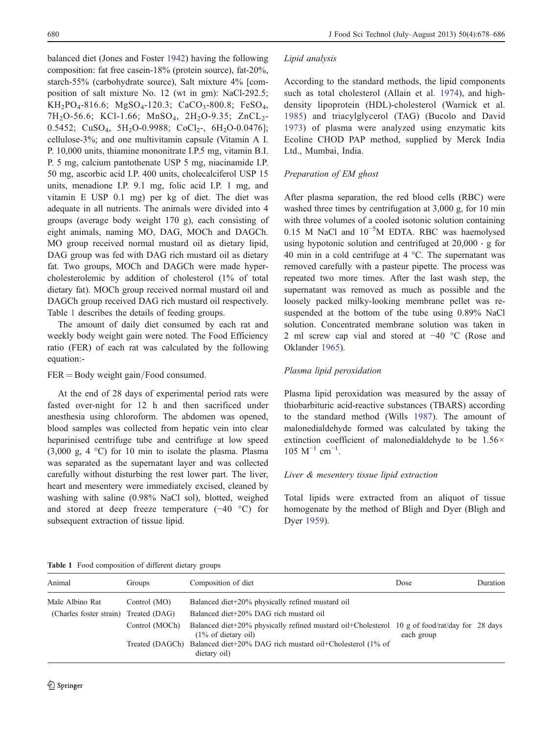<span id="page-2-0"></span>balanced diet (Jones and Foster [1942\)](#page-7-0) having the following composition: fat free casein-18% (protein source), fat-20%, starch-55% (carbohydrate source), Salt mixture 4% [composition of salt mixture No. 12 (wt in gm): NaCl-292.5;  $KH_2PO_4-816.6$ ;  $MgSO_4-120.3$ ; CaCO<sub>3</sub>-800.8; FeSO<sub>4</sub>, 7H<sub>2</sub>O-56.6; KCl-1.66; MnSO<sub>4</sub>, 2H<sub>2</sub>O-9.35; ZnCL<sub>2</sub>-0.5452; CuSO<sub>4</sub>, 5H<sub>2</sub>O-0.9988; CoCl<sub>2</sub>-, 6H<sub>2</sub>O-0.0476]; cellulose-3%; and one multivitamin capsule (Vitamin A I. P. 10,000 units, thiamine mononitrate I.P.5 mg, vitamin B.I. P. 5 mg, calcium pantothenate USP 5 mg, niacinamide I.P. 50 mg, ascorbic acid I.P. 400 units, cholecalciferol USP 15 units, menadione I.P. 9.1 mg, folic acid I.P. 1 mg, and vitamin E USP 0.1 mg) per kg of diet. The diet was adequate in all nutrients. The animals were divided into 4 groups (average body weight 170 g), each consisting of eight animals, naming MO, DAG, MOCh and DAGCh. MO group received normal mustard oil as dietary lipid, DAG group was fed with DAG rich mustard oil as dietary fat. Two groups, MOCh and DAGCh were made hypercholesterolemic by addition of cholesterol (1% of total dietary fat). MOCh group received normal mustard oil and DAGCh group received DAG rich mustard oil respectively. Table 1 describes the details of feeding groups.

The amount of daily diet consumed by each rat and weekly body weight gain were noted. The Food Efficiency ratio (FER) of each rat was calculated by the following equation:-

 $FER = Body weight gain/Food consumed$ .

At the end of 28 days of experimental period rats were fasted over-night for 12 h and then sacrificed under anesthesia using chloroform. The abdomen was opened, blood samples was collected from hepatic vein into clear heparinised centrifuge tube and centrifuge at low speed (3,000 g, 4 °C) for 10 min to isolate the plasma. Plasma was separated as the supernatant layer and was collected carefully without disturbing the rest lower part. The liver, heart and mesentery were immediately excised, cleaned by washing with saline (0.98% NaCl sol), blotted, weighed and stored at deep freeze temperature (−40 °C) for subsequent extraction of tissue lipid.

# Lipid analysis

According to the standard methods, the lipid components such as total cholesterol (Allain et al. [1974](#page-7-0)), and highdensity lipoprotein (HDL)-cholesterol (Warnick et al. [1985\)](#page-8-0) and triacylglycerol (TAG) (Bucolo and David [1973](#page-7-0)) of plasma were analyzed using enzymatic kits Ecoline CHOD PAP method, supplied by Merck India Ltd., Mumbai, India.

# Preparation of EM ghost

After plasma separation, the red blood cells (RBC) were washed three times by centrifugation at 3,000 g, for 10 min with three volumes of a cooled isotonic solution containing 0.15 M NaCl and 10<sup>-5</sup>M EDTA. RBC was haemolysed using hypotonic solution and centrifuged at 20,000 ⋅ g for 40 min in a cold centrifuge at 4 °C. The supernatant was removed carefully with a pasteur pipette. The process was repeated two more times. After the last wash step, the supernatant was removed as much as possible and the loosely packed milky-looking membrane pellet was resuspended at the bottom of the tube using 0.89% NaCl solution. Concentrated membrane solution was taken in 2 ml screw cap vial and stored at −40 °C (Rose and Oklander [1965](#page-8-0)).

# Plasma lipid peroxidation

Plasma lipid peroxidation was measured by the assay of thiobarbituric acid-reactive substances (TBARS) according to the standard method (Wills [1987\)](#page-8-0). The amount of malonedialdehyde formed was calculated by taking the extinction coefficient of malonedialdehyde to be 1.56×  $105$  M<sup>-1</sup> cm<sup>-1</sup>.

# Liver & mesentery tissue lipid extraction

Total lipids were extracted from an aliquot of tissue homogenate by the method of Bligh and Dyer (Bligh and Dyer [1959](#page-7-0)).

Table 1 Food composition of different dietary groups

| Animal                                     | Groups                        | Composition of diet                                                                                                                                                                                                          | Dose       | Duration |
|--------------------------------------------|-------------------------------|------------------------------------------------------------------------------------------------------------------------------------------------------------------------------------------------------------------------------|------------|----------|
| Male Albino Rat<br>(Charles foster strain) | Control (MO)<br>Treated (DAG) | Balanced diet+20% physically refined mustard oil<br>Balanced diet+20% DAG rich mustard oil                                                                                                                                   |            |          |
|                                            | Control (MOCh)                | Balanced diet+20% physically refined mustard oil+Cholesterol 10 g of food/rat/day for 28 days<br>$(1\% \text{ of dietary oil})$<br>Treated (DAGCh) Balanced diet+20% DAG rich mustard oil+Cholesterol (1% of<br>dietary oil) | each group |          |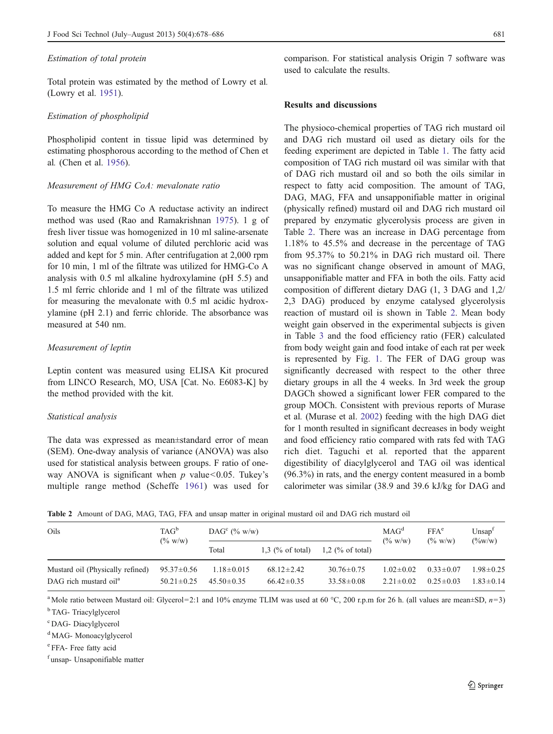#### Estimation of total protein

Total protein was estimated by the method of Lowry et al. (Lowry et al. [1951](#page-7-0)).

#### Estimation of phospholipid

Phospholipid content in tissue lipid was determined by estimating phosphorous according to the method of Chen et al. (Chen et al. [1956\)](#page-7-0).

## Measurement of HMG CoA: mevalonate ratio

To measure the HMG Co A reductase activity an indirect method was used (Rao and Ramakrishnan [1975\)](#page-8-0). 1 g of fresh liver tissue was homogenized in 10 ml saline-arsenate solution and equal volume of diluted perchloric acid was added and kept for 5 min. After centrifugation at 2,000 rpm for 10 min, 1 ml of the filtrate was utilized for HMG-Co A analysis with 0.5 ml alkaline hydroxylamine (pH 5.5) and 1.5 ml ferric chloride and 1 ml of the filtrate was utilized for measuring the mevalonate with 0.5 ml acidic hydroxylamine (pH 2.1) and ferric chloride. The absorbance was measured at 540 nm.

# Measurement of leptin

Leptin content was measured using ELISA Kit procured from LINCO Research, MO, USA [Cat. No. E6083-K] by the method provided with the kit.

#### Statistical analysis

The data was expressed as mean±standard error of mean (SEM). One-dway analysis of variance (ANOVA) was also used for statistical analysis between groups. F ratio of oneway ANOVA is significant when  $p$  value <0.05. Tukey's multiple range method (Scheffe [1961\)](#page-8-0) was used for comparison. For statistical analysis Origin 7 software was used to calculate the results.

## Results and discussions

The physioco-chemical properties of TAG rich mustard oil and DAG rich mustard oil used as dietary oils for the feeding experiment are depicted in Table [1](#page-2-0). The fatty acid composition of TAG rich mustard oil was similar with that of DAG rich mustard oil and so both the oils similar in respect to fatty acid composition. The amount of TAG, DAG, MAG, FFA and unsapponifiable matter in original (physically refined) mustard oil and DAG rich mustard oil prepared by enzymatic glycerolysis process are given in Table 2. There was an increase in DAG percentage from 1.18% to 45.5% and decrease in the percentage of TAG from 95.37% to 50.21% in DAG rich mustard oil. There was no significant change observed in amount of MAG, unsapponifiable matter and FFA in both the oils. Fatty acid composition of different dietary DAG (1, 3 DAG and 1,2/ 2,3 DAG) produced by enzyme catalysed glycerolysis reaction of mustard oil is shown in Table 2. Mean body weight gain observed in the experimental subjects is given in Table [3](#page-4-0) and the food efficiency ratio (FER) calculated from body weight gain and food intake of each rat per week is represented by Fig. [1](#page-4-0). The FER of DAG group was significantly decreased with respect to the other three dietary groups in all the 4 weeks. In 3rd week the group DAGCh showed a significant lower FER compared to the group MOCh. Consistent with previous reports of Murase et al. (Murase et al. [2002](#page-8-0)) feeding with the high DAG diet for 1 month resulted in significant decreases in body weight and food efficiency ratio compared with rats fed with TAG rich diet. Taguchi et al. reported that the apparent digestibility of diacylglycerol and TAG oil was identical (96.3%) in rats, and the energy content measured in a bomb calorimeter was similar (38.9 and 39.6 kJ/kg for DAG and

Table 2 Amount of DAG, MAG, TAG, FFA and unsap matter in original mustard oil and DAG rich mustard oil

| Oils                                                                  | TAG <sup>b</sup><br>$(\% w/w)$       | DAG <sup>c</sup> $(\% w/w)$          |                                      | MAG <sup>d</sup>                     | FFA <sup>e</sup>                   | Unsap <sup>t</sup>                 |                                    |
|-----------------------------------------------------------------------|--------------------------------------|--------------------------------------|--------------------------------------|--------------------------------------|------------------------------------|------------------------------------|------------------------------------|
|                                                                       |                                      | Total                                | 1,3 $(\% \text{ of total})$          | 1,2 $(\% \text{ of total})$          | $(\% w/w)$                         | $(\% w/w)$                         | $(\%w/w)$                          |
| Mustard oil (Physically refined)<br>DAG rich mustard oil <sup>a</sup> | $95.37 \pm 0.56$<br>$50.21 \pm 0.25$ | $1.18 \pm 0.015$<br>$45.50 \pm 0.35$ | $68.12 \pm 2.42$<br>$66.42 \pm 0.35$ | $30.76 \pm 0.75$<br>$33.58 \pm 0.08$ | $1.02 \pm 0.02$<br>$2.21 \pm 0.02$ | $0.33 \pm 0.07$<br>$0.25 \pm 0.03$ | $1.98 \pm 0.25$<br>$1.83 \pm 0.14$ |

<sup>a</sup> Mole ratio between Mustard oil: Glycerol=2:1 and 10% enzyme TLIM was used at 60 °C, 200 r.p.m for 26 h. (all values are mean $\pm$ SD,  $n=3$ ) <sup>b</sup> TAG- Triacylglycerol

<sup>c</sup> DAG- Diacylglycerol

<sup>d</sup> MAG- Monoacylglycerol

e FFA- Free fatty acid

f unsap- Unsaponifiable matter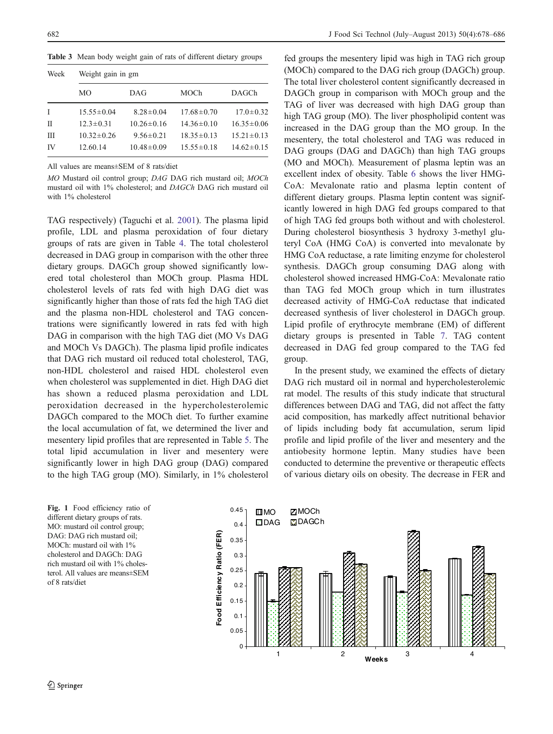<span id="page-4-0"></span>Table 3 Mean body weight gain of rats of different dietary groups

| Week | Weight gain in gm |                  |                  |                  |  |  |  |
|------|-------------------|------------------|------------------|------------------|--|--|--|
|      | MO.               | DAG              | MOCh             | DAGCh            |  |  |  |
| T    | $15.55 \pm 0.04$  | $8.28 \pm 0.04$  | $17.68 \pm 0.70$ | $17.0 \pm 0.32$  |  |  |  |
| Н    | $12.3 \pm 0.31$   | $10.26 \pm 0.16$ | $14.36 \pm 0.10$ | $16.35 \pm 0.06$ |  |  |  |
| Ш    | $10.32 \pm 0.26$  | $9.56 \pm 0.21$  | $18.35 \pm 0.13$ | $15.21 \pm 0.13$ |  |  |  |
| IV   | 12.60.14          | $10.48 \pm 0.09$ | $15.55 \pm 0.18$ | $14.62 \pm 0.15$ |  |  |  |

All values are means±SEM of 8 rats/diet

MO Mustard oil control group; DAG DAG rich mustard oil; MOCh mustard oil with 1% cholesterol; and DAGCh DAG rich mustard oil with 1% cholesterol

TAG respectively) (Taguchi et al. [2001](#page-8-0)). The plasma lipid profile, LDL and plasma peroxidation of four dietary groups of rats are given in Table [4](#page-5-0). The total cholesterol decreased in DAG group in comparison with the other three dietary groups. DAGCh group showed significantly lowered total cholesterol than MOCh group. Plasma HDL cholesterol levels of rats fed with high DAG diet was significantly higher than those of rats fed the high TAG diet and the plasma non-HDL cholesterol and TAG concentrations were significantly lowered in rats fed with high DAG in comparison with the high TAG diet (MO Vs DAG and MOCh Vs DAGCh). The plasma lipid profile indicates that DAG rich mustard oil reduced total cholesterol, TAG, non-HDL cholesterol and raised HDL cholesterol even when cholesterol was supplemented in diet. High DAG diet has shown a reduced plasma peroxidation and LDL peroxidation decreased in the hypercholesterolemic DAGCh compared to the MOCh diet. To further examine the local accumulation of fat, we determined the liver and mesentery lipid profiles that are represented in Table [5](#page-5-0). The total lipid accumulation in liver and mesentery were significantly lower in high DAG group (DAG) compared to the high TAG group (MO). Similarly, in 1% cholesterol

fed groups the mesentery lipid was high in TAG rich group (MOCh) compared to the DAG rich group (DAGCh) group. The total liver cholesterol content significantly decreased in DAGCh group in comparison with MOCh group and the TAG of liver was decreased with high DAG group than high TAG group (MO). The liver phospholipid content was increased in the DAG group than the MO group. In the mesentery, the total cholesterol and TAG was reduced in DAG groups (DAG and DAGCh) than high TAG groups (MO and MOCh). Measurement of plasma leptin was an excellent index of obesity. Table [6](#page-6-0) shows the liver HMG-CoA: Mevalonate ratio and plasma leptin content of different dietary groups. Plasma leptin content was significantly lowered in high DAG fed groups compared to that of high TAG fed groups both without and with cholesterol. During cholesterol biosynthesis 3 hydroxy 3-methyl gluteryl CoA (HMG CoA) is converted into mevalonate by HMG CoA reductase, a rate limiting enzyme for cholesterol synthesis. DAGCh group consuming DAG along with cholesterol showed increased HMG-CoA: Mevalonate ratio than TAG fed MOCh group which in turn illustrates decreased activity of HMG-CoA reductase that indicated decreased synthesis of liver cholesterol in DAGCh group. Lipid profile of erythrocyte membrane (EM) of different dietary groups is presented in Table [7.](#page-6-0) TAG content decreased in DAG fed group compared to the TAG fed group.

In the present study, we examined the effects of dietary DAG rich mustard oil in normal and hypercholesterolemic rat model. The results of this study indicate that structural differences between DAG and TAG, did not affect the fatty acid composition, has markedly affect nutritional behavior of lipids including body fat accumulation, serum lipid profile and lipid profile of the liver and mesentery and the antiobesity hormone leptin. Many studies have been conducted to determine the preventive or therapeutic effects of various dietary oils on obesity. The decrease in FER and

Fig. 1 Food efficiency ratio of different dietary groups of rats. MO: mustard oil control group; DAG: DAG rich mustard oil; MOCh: mustard oil with 1% cholesterol and DAGCh: DAG rich mustard oil with 1% cholesterol. All values are means±SEM of 8 rats/diet

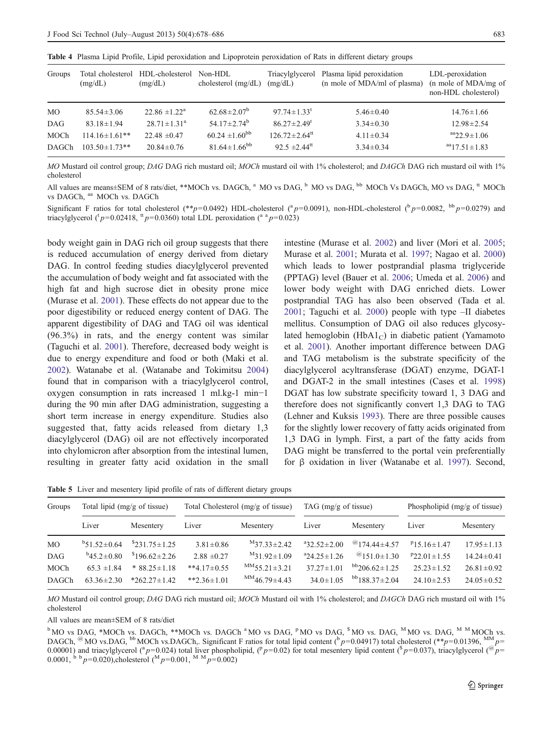| Groups       | Total cholesterol<br>(mg/dL) | HDL-cholesterol<br>(mg/dL)  | Non-HDL<br>cholesterol $(mg/dL)$ | Triacylglycerol<br>(mg/dL)      | Plasma lipid peroxidation<br>(n mole of MDA/ml of plasma) | LDL-peroxidation<br>(n mole of MDA/mg of<br>non-HDL cholesterol) |
|--------------|------------------------------|-----------------------------|----------------------------------|---------------------------------|-----------------------------------------------------------|------------------------------------------------------------------|
| MO           | $85.54 \pm 3.06$             | $22.86 \pm 1.22^{\text{a}}$ | $62.68 \pm 2.07^b$               | $97.74 \pm 1.33$ <sup>t</sup>   | $5.46 \pm 0.40$                                           | $14.76 \pm 1.66$                                                 |
| <b>DAG</b>   | $83.18 \pm 1.94$             | $28.71 \pm 1.31^a$          | $54.17 \pm 2.74^{\rm b}$         | $86.27 \pm 2.49^t$              | $3.34 \pm 0.30$                                           | $12.98 \pm 2.54$                                                 |
| MOCh         | $114.16 \pm 1.61$ **         | $22.48 \pm 0.47$            | $60.24 \pm 1.60^{bb}$            | $126.72 \pm 2.64$ <sup>tt</sup> | $4.11 \pm 0.34$                                           | $a^222.9 \pm 1.06$                                               |
| <b>DAGCh</b> | $103.50 \pm 1.73**$          | $20.84 \pm 0.76$            | $81.64 \pm 1.66^{bb}$            | $92.5 \pm 2.44$ <sup>tt</sup>   | $3.34 \pm 0.34$                                           | $a^{aa}$ 17.51 $\pm$ 1.83                                        |

<span id="page-5-0"></span>Table 4 Plasma Lipid Profile, Lipid peroxidation and Lipoprotein peroxidation of Rats in different dietary groups

MO Mustard oil control group; DAG DAG rich mustard oil; MOCh mustard oil with 1% cholesterol; and DAGCh DAG rich mustard oil with 1% cholesterol

All values are means±SEM of 8 rats/diet, \*\*MOCh vs. DAGCh, <sup>a</sup> MO vs DAG, <sup>b</sup> MO vs DAG, <sup>bb</sup> MOCh Vs DAGCh, MO vs DAG, <sup>tt</sup> MOCh vs DAGCh, aa MOCh vs. DAGCh

Significant F ratios for total cholesterol (\*\*p=0.0492) HDL-cholesterol (\*p=0.0091), non-HDL-cholesterol ( $b$  p=0.0082,  $b$  p=0.0279) and triacylglycerol ( $tp=0.02418$ ,  $tp=0.0360$ ) total LDL peroxidation (<sup>a a</sup> $p=0.023$ )

body weight gain in DAG rich oil group suggests that there is reduced accumulation of energy derived from dietary DAG. In control feeding studies diacylglycerol prevented the accumulation of body weight and fat associated with the high fat and high sucrose diet in obesity prone mice (Murase et al. [2001\)](#page-8-0). These effects do not appear due to the poor digestibility or reduced energy content of DAG. The apparent digestibility of DAG and TAG oil was identical (96.3%) in rats, and the energy content was similar (Taguchi et al. [2001\)](#page-8-0). Therefore, decreased body weight is due to energy expenditure and food or both (Maki et al. [2002\)](#page-7-0). Watanabe et al. (Watanabe and Tokimitsu [2004\)](#page-8-0) found that in comparison with a triacylglycerol control, oxygen consumption in rats increased 1 ml.kg-1 min−1 during the 90 min after DAG administration, suggesting a short term increase in energy expenditure. Studies also suggested that, fatty acids released from dietary 1,3 diacylglycerol (DAG) oil are not effectively incorporated into chylomicron after absorption from the intestinal lumen, resulting in greater fatty acid oxidation in the small intestine (Murase et al. [2002\)](#page-8-0) and liver (Mori et al. [2005;](#page-7-0) Murase et al. [2001](#page-8-0); Murata et al. [1997;](#page-8-0) Nagao et al. [2000](#page-8-0)) which leads to lower postprandial plasma triglyceride (PPTAG) level (Bauer et al. [2006](#page-7-0); Umeda et al. [2006](#page-8-0)) and lower body weight with DAG enriched diets. Lower postprandial TAG has also been observed (Tada et al. [2001](#page-8-0); Taguchi et al. [2000\)](#page-8-0) people with type –II diabetes mellitus. Consumption of DAG oil also reduces glycosylated hemoglobin (HbA1 $_C$ ) in diabetic patient (Yamamoto et al. [2001\)](#page-8-0). Another important difference between DAG and TAG metabolism is the substrate specificity of the diacylglycerol acyltransferase (DGAT) enzyme, DGAT-1 and DGAT-2 in the small intestines (Cases et al. [1998](#page-7-0)) DGAT has low substrate specificity toward 1, 3 DAG and therefore does not significantly convert 1,3 DAG to TAG (Lehner and Kuksis [1993](#page-7-0)). There are three possible causes for the slightly lower recovery of fatty acids originated from 1,3 DAG in lymph. First, a part of the fatty acids from DAG might be transferred to the portal vein preferentially for β oxidation in liver (Watanabe et al. [1997](#page-8-0)). Second,

Table 5 Liver and mesentery lipid profile of rats of different dietary groups

| Groups       | Total lipid $(mg/g \text{ of tissue})$ |                         | Total Cholesterol (mg/g of tissue) |                          | TAG $(mg/g \text{ of tissue})$ |                            | Phospholipid $(mg/g \text{ of tissue})$ |                  |
|--------------|----------------------------------------|-------------------------|------------------------------------|--------------------------|--------------------------------|----------------------------|-----------------------------------------|------------------|
|              | Liver                                  | Mesentery               | Liver                              | Mesentery                | Liver                          | Mesentery                  | Liver                                   | Mesentery        |
| <b>MO</b>    | $^{6}$ 51.52 $\pm$ 0.64                | ${}^{5}231.75 \pm 1.25$ | $3.81 \pm 0.86$                    | $M_{37.33\pm2.42}$       | $432.52 \pm 2.00$              | $^{(2)}$ 174.44±4.57       | $P15.16 \pm 1.47$                       | $17.95 \pm 1.13$ |
| <b>DAG</b>   | $^{b}45.2\pm0.80$                      | $5196.62 \pm 2.26$      | $2.88 \pm 0.27$                    | $M_31.92 \pm 1.09$       | $^{a}$ 24.25 ± 1.26            | <sup>(@</sup> 151.0±1.30)  | $P22.01 \pm 1.55$                       | $14.24 \pm 0.41$ |
| MOCh         | $65.3 \pm 1.84$                        | $*88.25 \pm 1.18$       | $**4.17\pm0.55$                    | $^{MM}$ 55.21 $\pm$ 3.21 | $37.27 \pm 1.01$               | $^{bb2}$ 206.62 $\pm$ 1.25 | $25.23 \pm 1.52$                        | $26.81 \pm 0.92$ |
| <b>DAGCh</b> | $63.36 \pm 2.30$                       | $*262.27 \pm 1.42$      | **2.36 $\pm$ 1.01                  | $^{MM46.79 \pm 4.43}$    | $34.0 \pm 1.05$                | $^{bb}188.37\pm2.04$       | $24.10 \pm 2.53$                        | $24.05 \pm 0.52$ |

MO Mustard oil control group; DAG DAG rich mustard oil; MOCh Mustard oil with 1% cholesterol; and DAGCh DAG rich mustard oil with 1% cholesterol

All values are mean±SEM of 8 rats/diet

<sup>b</sup> MO vs DAG, \*MOCh vs. DAGCh, \*\*MOCh vs. DAGCh <sup>a</sup> MO vs DAG, <sup>p</sup> MO vs DAG, <sup>\$</sup> MO vs. DAG, <sup>M</sup> MO vs. DAG, <sup>M</sup> MOCh vs. DAGCh,  $^{(0)}$  MO vs.DAG, <sup>bb</sup> MOCh vs.DAGCh,. Significant F ratios for total lipid content ( $^{b}p=0.04917$ ) total cholesterol (\*\*p=0.01396, <sup>MM</sup> p= 0.00001) and triacylglycerol ( ${}^a p=0.024$ ) total liver phospholipid, ( ${}^p p=0.02$ ) for total mesentery lipid content ( ${}^s p=0.037$ ), triacylglycerol ( ${}^{\textcircled{\tiny{\textcircled{\tiny\textup{p}}}}}$ 0.0001,  $b \ b} p=0.020)$ ,cholesterol (M  $p=0.001$ , M M  $p=0.002$ )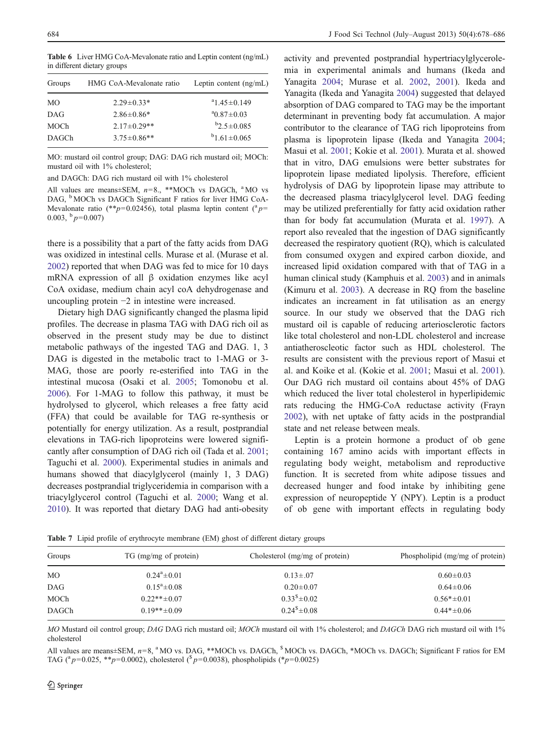<span id="page-6-0"></span>Table 6 Liver HMG CoA-Mevalonate ratio and Leptin content (ng/mL) in different dietary groups

| HMG CoA-Mevalonate ratio | Leptin content $(ng/mL)$ |
|--------------------------|--------------------------|
| $2.29 \pm 0.33*$         | $a_{1.45\pm0.149}$       |
| $2.86 \pm 0.86*$         | $a^{0.87} \pm 0.03$      |
| $2.17 \pm 0.29$ **       | $b_{2.5\pm0.085}$        |
| $3.75 \pm 0.86$ **       | $b$ 1.61 $\pm$ 0.065     |
|                          |                          |

MO: mustard oil control group; DAG: DAG rich mustard oil; MOCh: mustard oil with 1% cholesterol;

and DAGCh: DAG rich mustard oil with 1% cholesterol

All values are means $\pm$ SEM,  $n=8.$ , \*\*MOCh vs DAGCh,  $^a$ MO vs DAG, <sup>b</sup> MOCh vs DAGCh Significant F ratios for liver HMG CoA-Mevalonate ratio (\*\*p=0.02456), total plasma leptin content ( $^{a}p=$  $0.003$ ,  $^{b} p=0.007$ )

there is a possibility that a part of the fatty acids from DAG was oxidized in intestinal cells. Murase et al. (Murase et al. [2002\)](#page-8-0) reported that when DAG was fed to mice for 10 days mRNA expression of all β oxidation enzymes like acyl CoA oxidase, medium chain acyl coA dehydrogenase and uncoupling protein −2 in intestine were increased.

Dietary high DAG significantly changed the plasma lipid profiles. The decrease in plasma TAG with DAG rich oil as observed in the present study may be due to distinct metabolic pathways of the ingested TAG and DAG. 1, 3 DAG is digested in the metabolic tract to 1-MAG or 3- MAG, those are poorly re-esterified into TAG in the intestinal mucosa (Osaki et al. [2005](#page-8-0); Tomonobu et al. [2006\)](#page-8-0). For 1-MAG to follow this pathway, it must be hydrolysed to glycerol, which releases a free fatty acid (FFA) that could be available for TAG re-synthesis or potentially for energy utilization. As a result, postprandial elevations in TAG-rich lipoproteins were lowered significantly after consumption of DAG rich oil (Tada et al. [2001](#page-8-0); Taguchi et al. [2000\)](#page-8-0). Experimental studies in animals and humans showed that diacylglycerol (mainly 1, 3 DAG) decreases postprandial triglyceridemia in comparison with a triacylglycerol control (Taguchi et al. [2000](#page-8-0); Wang et al. [2010\)](#page-8-0). It was reported that dietary DAG had anti-obesity activity and prevented postprandial hypertriacylglycerolemia in experimental animals and humans (Ikeda and Yanagita [2004](#page-7-0); Murase et al. [2002](#page-8-0), [2001\)](#page-8-0). Ikeda and Yanagita (Ikeda and Yanagita [2004](#page-7-0)) suggested that delayed absorption of DAG compared to TAG may be the important determinant in preventing body fat accumulation. A major contributor to the clearance of TAG rich lipoproteins from plasma is lipoprotein lipase (Ikeda and Yanagita [2004;](#page-7-0) Masui et al. [2001](#page-7-0); Kokie et al. [2001](#page-7-0)). Murata et al. showed that in vitro, DAG emulsions were better substrates for lipoprotein lipase mediated lipolysis. Therefore, efficient hydrolysis of DAG by lipoprotein lipase may attribute to the decreased plasma triacylglycerol level. DAG feeding may be utilized preferentially for fatty acid oxidation rather than for body fat accumulation (Murata et al. [1997](#page-8-0)). A report also revealed that the ingestion of DAG significantly decreased the respiratory quotient (RQ), which is calculated from consumed oxygen and expired carbon dioxide, and increased lipid oxidation compared with that of TAG in a human clinical study (Kamphuis et al. [2003](#page-7-0)) and in animals (Kimuru et al. [2003](#page-7-0)). A decrease in RQ from the baseline indicates an increament in fat utilisation as an energy source. In our study we observed that the DAG rich mustard oil is capable of reducing arteriosclerotic factors like total cholesterol and non-LDL cholesterol and increase antiatheroscleotic factor such as HDL cholesterol. The results are consistent with the previous report of Masui et al. and Koike et al. (Kokie et al. [2001](#page-7-0); Masui et al. [2001\)](#page-7-0). Our DAG rich mustard oil contains about 45% of DAG which reduced the liver total cholesterol in hyperlipidemic rats reducing the HMG-CoA reductase activity (Frayn [2002](#page-7-0)), with net uptake of fatty acids in the postprandial state and net release between meals.

Leptin is a protein hormone a product of ob gene containing 167 amino acids with important effects in regulating body weight, metabolism and reproductive function. It is secreted from white adipose tissues and decreased hunger and food intake by inhibiting gene expression of neuropeptide Y (NPY). Leptin is a product of ob gene with important effects in regulating body

Groups TG (mg/mg of protein) Cholesterol (mg/mg of protein) Phospholipid (mg/mg of protein) MO  $0.24^a \pm 0.01$  $\pm 0.01$  0.13 $\pm .07$  0.60 $\pm 0.03$ DAG  $0.15^a \pm 0.08$  $\pm 0.08$  0.20 $\pm 0.07$  0.64 $\pm 0.06$ MOCh  $0.22^{**} \pm 0.07$   $0.33^{*} \pm 0.02$  $0.56* \pm 0.01$ DAGCh  $0.19^{**} \pm 0.09$   $0.24^{*} \pm 0.08$  $0.44* \pm 0.06$ 

Table 7 Lipid profile of erythrocyte membrane (EM) ghost of different dietary groups

MO Mustard oil control group; DAG DAG rich mustard oil; MOCh mustard oil with 1% cholesterol; and DAGCh DAG rich mustard oil with 1% cholesterol

All values are means $\pm$ SEM,  $n=8$ ,  $\pm$  MO vs. DAG,  $**$ MOCh vs. DAGCh,  $\pm$ MOCh vs. DAGCh,  $*$ MOCh vs. DAGCh; Significant F ratios for EM TAG ( ${}^{a}p=0.025$ ,  ${}^{*}p=0.0002$ ), cholesterol ( ${}^{s}p=0.0038$ ), phospholipids ( ${}^{*}p=0.0025$ )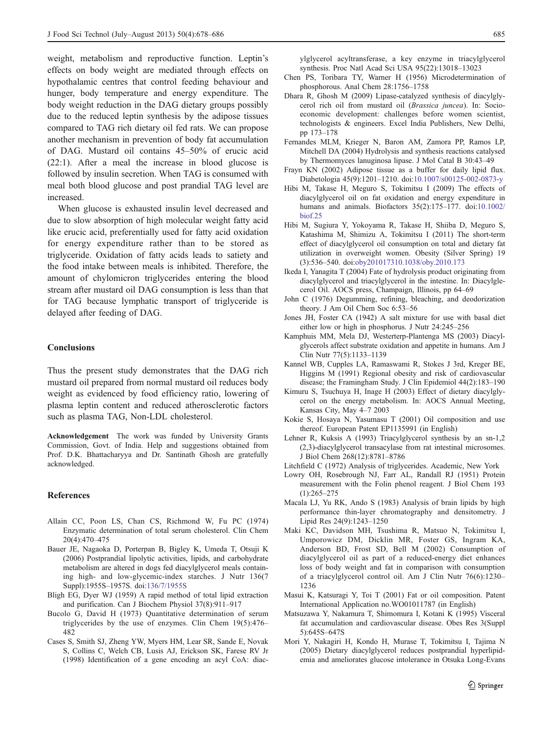<span id="page-7-0"></span>weight, metabolism and reproductive function. Leptin's effects on body weight are mediated through effects on hypothalamic centres that control feeding behaviour and hunger, body temperature and energy expenditure. The body weight reduction in the DAG dietary groups possibly due to the reduced leptin synthesis by the adipose tissues compared to TAG rich dietary oil fed rats. We can propose another mechanism in prevention of body fat accumulation of DAG. Mustard oil contains 45–50% of erucic acid (22:1). After a meal the increase in blood glucose is followed by insulin secretion. When TAG is consumed with meal both blood glucose and post prandial TAG level are increased.

When glucose is exhausted insulin level decreased and due to slow absorption of high molecular weight fatty acid like erucic acid, preferentially used for fatty acid oxidation for energy expenditure rather than to be stored as triglyceride. Oxidation of fatty acids leads to satiety and the food intake between meals is inhibited. Therefore, the amount of chylomicron triglycerides entering the blood stream after mustard oil DAG consumption is less than that for TAG because lymphatic transport of triglyceride is delayed after feeding of DAG.

## **Conclusions**

Thus the present study demonstrates that the DAG rich mustard oil prepared from normal mustard oil reduces body weight as evidenced by food efficiency ratio, lowering of plasma leptin content and reduced atherosclerotic factors such as plasma TAG, Non-LDL cholesterol.

Acknowledgement The work was funded by University Grants Commission, Govt. of India. Help and suggestions obtained from Prof. D.K. Bhattacharyya and Dr. Santinath Ghosh are gratefully acknowledged.

#### References

- Allain CC, Poon LS, Chan CS, Richmond W, Fu PC (1974) Enzymatic determination of total serum cholesterol. Clin Chem 20(4):470–475
- Bauer JE, Nagaoka D, Porterpan B, Bigley K, Umeda T, Otsuji K (2006) Postprandial lipolytic activities, lipids, and carbohydrate metabolism are altered in dogs fed diacylglycerol meals containing high- and low-glycemic-index starches. J Nutr 136(7 Suppl):1955S–1957S. doi[:136/7/1955S](http://dx.doi.org/136/7/1955S)
- Bligh EG, Dyer WJ (1959) A rapid method of total lipid extraction and purification. Can J Biochem Physiol 37(8):911–917
- Bucolo G, David H (1973) Quantitative determination of serum triglycerides by the use of enzymes. Clin Chem 19(5):476– 482
- Cases S, Smith SJ, Zheng YW, Myers HM, Lear SR, Sande E, Novak S, Collins C, Welch CB, Lusis AJ, Erickson SK, Farese RV Jr (1998) Identification of a gene encoding an acyl CoA: diac-

ylglycerol acyltransferase, a key enzyme in triacylglycerol synthesis. Proc Natl Acad Sci USA 95(22):13018–13023

- Chen PS, Toribara TY, Warner H (1956) Microdetermination of phosphorous. Anal Chem 28:1756–1758
- Dhara R, Ghosh M (2009) Lipase-catalyzed synthesis of diacylglycerol rich oil from mustard oil (Brassica juncea). In: Socioeconomic development: challenges before women scientist, technologists & engineers. Excel India Publishers, New Delhi, pp 173–178
- Fernandes MLM, Krieger N, Baron AM, Zamora PP, Ramos LP, Mitchell DA (2004) Hydrolysis and synthesis reactions catalysed by Thermomyces lanuginosa lipase. J Mol Catal B 30:43–49
- Frayn KN (2002) Adipose tissue as a buffer for daily lipid flux. Diabetologia 45(9):1201–1210. doi:[10.1007/s00125-002-0873-y](http://dx.doi.org/10.1007/s00125-002-0873-y)
- Hibi M, Takase H, Meguro S, Tokimitsu I (2009) The effects of diacylglycerol oil on fat oxidation and energy expenditure in humans and animals. Biofactors 35(2):175–177. doi[:10.1002/](http://dx.doi.org/10.1002/biof.25) [biof.25](http://dx.doi.org/10.1002/biof.25)
- Hibi M, Sugiura Y, Yokoyama R, Takase H, Shiiba D, Meguro S, Katashima M, Shimizu A, Tokimitsu I (2011) The short-term effect of diacylglycerol oil consumption on total and dietary fat utilization in overweight women. Obesity (Silver Spring) 19 (3):536–540. doi:[oby201017310.1038/oby.2010.173](http://dx.doi.org/oby201017310.1038/oby.2010.173)
- Ikeda I, Yanagita T (2004) Fate of hydrolysis product originating from diacylglycerol and triacylglycerol in the intestine. In: Diacylglecerol Oil. AOCS press, Champaign, Illinois, pp 64–69
- John C (1976) Degumming, refining, bleaching, and deodorization theory. J Am Oil Chem Soc 6:53–56
- Jones JH, Foster CA (1942) A salt mixture for use with basal diet either low or high in phosphorus. J Nutr 24:245–256
- Kamphuis MM, Mela DJ, Westerterp-Plantenga MS (2003) Diacylglycerols affect substrate oxidation and appetite in humans. Am J Clin Nutr 77(5):1133–1139
- Kannel WB, Cupples LA, Ramaswami R, Stokes J 3rd, Kreger BE, Higgins M (1991) Regional obesity and risk of cardiovascular disease; the Framingham Study. J Clin Epidemiol 44(2):183–190
- Kimuru S, Tsuchuya H, Inage H (2003) Effect of dietary diacylglycerol on the energy metabolism. In: AOCS Annual Meeting, Kansas City, May 4–7 2003
- Kokie S, Hosaya N, Yasumasu T (2001) Oil composition and use thereof. European Patent EP1135991 (in English)
- Lehner R, Kuksis A (1993) Triacylglycerol synthesis by an sn-1,2 (2,3)-diacylglycerol transacylase from rat intestinal microsomes. J Biol Chem 268(12):8781–8786
- Litchfield C (1972) Analysis of triglycerides. Academic, New York
- Lowry OH, Rosebrough NJ, Farr AL, Randall RJ (1951) Protein measurement with the Folin phenol reagent. J Biol Chem 193  $(1):265 - 275$
- Macala LJ, Yu RK, Ando S (1983) Analysis of brain lipids by high performance thin-layer chromatography and densitometry. J Lipid Res 24(9):1243–1250
- Maki KC, Davidson MH, Tsushima R, Matsuo N, Tokimitsu I, Umporowicz DM, Dicklin MR, Foster GS, Ingram KA, Anderson BD, Frost SD, Bell M (2002) Consumption of diacylglycerol oil as part of a reduced-energy diet enhances loss of body weight and fat in comparison with consumption of a triacylglycerol control oil. Am J Clin Nutr 76(6):1230– 1236
- Masui K, Katsuragi Y, Toi T (2001) Fat or oil composition. Patent International Application no.WO01011787 (in English)
- Matsuzawa Y, Nakamura T, Shimomura I, Kotani K (1995) Visceral fat accumulation and cardiovascular disease. Obes Res 3(Suppl 5):645S–647S
- Mori Y, Nakagiri H, Kondo H, Murase T, Tokimitsu I, Tajima N (2005) Dietary diacylglycerol reduces postprandial hyperlipidemia and ameliorates glucose intolerance in Otsuka Long-Evans